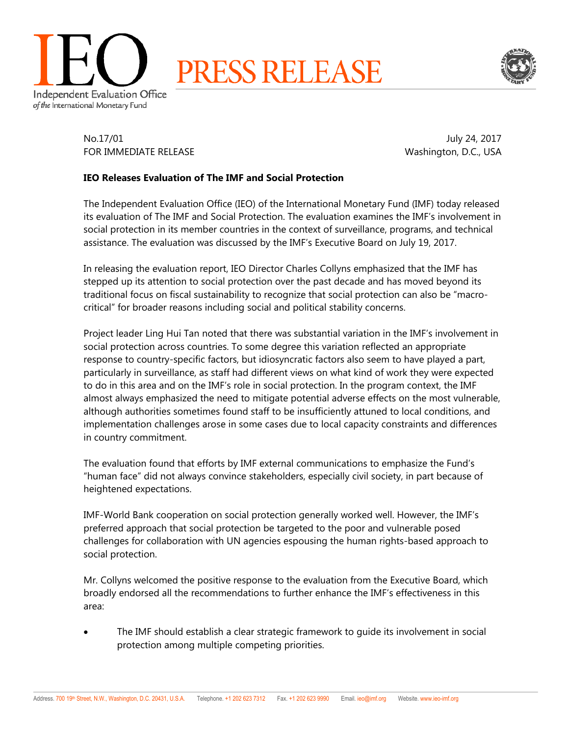



No.17/01 July 24, 2017 FOR IMMEDIATE RELEASE Washington, D.C., USA

## **IEO Releases Evaluation of The IMF and Social Protection**

The Independent Evaluation Office (IEO) of the International Monetary Fund (IMF) today released its evaluation of The IMF and Social Protection. The evaluation examines the IMF's involvement in social protection in its member countries in the context of surveillance, programs, and technical assistance. The evaluation was discussed by the IMF's Executive Board on July 19, 2017.

In releasing the evaluation report, IEO Director Charles Collyns emphasized that the IMF has stepped up its attention to social protection over the past decade and has moved beyond its traditional focus on fiscal sustainability to recognize that social protection can also be "macrocritical" for broader reasons including social and political stability concerns.

Project leader Ling Hui Tan noted that there was substantial variation in the IMF's involvement in social protection across countries. To some degree this variation reflected an appropriate response to country-specific factors, but idiosyncratic factors also seem to have played a part, particularly in surveillance, as staff had different views on what kind of work they were expected to do in this area and on the IMF's role in social protection. In the program context, the IMF almost always emphasized the need to mitigate potential adverse effects on the most vulnerable, although authorities sometimes found staff to be insufficiently attuned to local conditions, and implementation challenges arose in some cases due to local capacity constraints and differences in country commitment.

The evaluation found that efforts by IMF external communications to emphasize the Fund's "human face" did not always convince stakeholders, especially civil society, in part because of heightened expectations.

IMF-World Bank cooperation on social protection generally worked well. However, the IMF's preferred approach that social protection be targeted to the poor and vulnerable posed challenges for collaboration with UN agencies espousing the human rights-based approach to social protection.

Mr. Collyns welcomed the positive response to the evaluation from the Executive Board, which broadly endorsed all the recommendations to further enhance the IMF's effectiveness in this area:

 The IMF should establish a clear strategic framework to guide its involvement in social protection among multiple competing priorities.